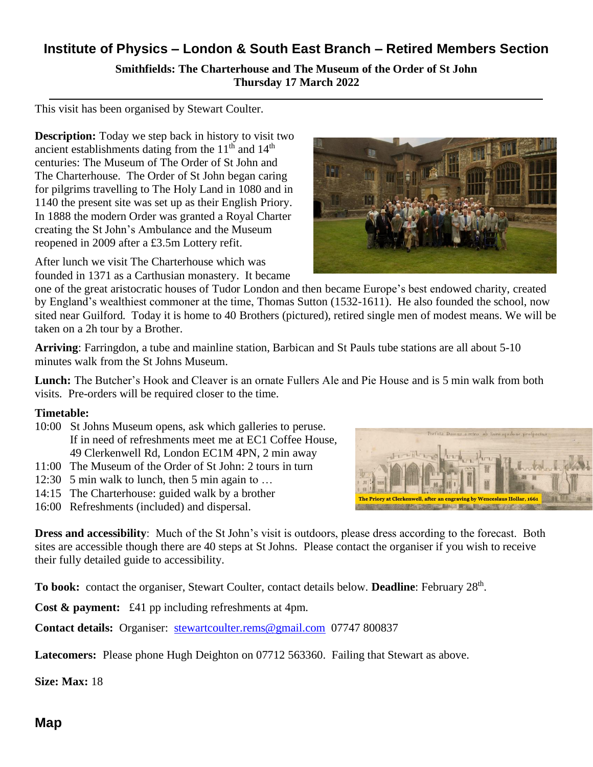## **Institute of Physics – London & South East Branch – Retired Members Section Smithfields: The Charterhouse and The Museum of the Order of St John Thursday 17 March 2022**

This visit has been organised by Stewart Coulter.

**Description:** Today we step back in history to visit two ancient establishments dating from the  $11<sup>th</sup>$  and  $14<sup>th</sup>$ centuries: The Museum of The Order of St John and The Charterhouse. The Order of St John began caring for pilgrims travelling to The Holy Land in 1080 and in 1140 the present site was set up as their English Priory. In 1888 the modern Order was granted a Royal Charter creating the St John's Ambulance and the Museum reopened in 2009 after a £3.5m Lottery refit.

After lunch we visit The Charterhouse which was founded in 1371 as a Carthusian monastery. It became

one of the great aristocratic houses of Tudor London and then became Europe's best endowed charity, created by England's wealthiest commoner at the time, Thomas Sutton (1532-1611). He also founded the school, now sited near Guilford. Today it is home to 40 Brothers (pictured), retired single men of modest means. We will be taken on a 2h tour by a Brother.

**Arriving**: Farringdon, a tube and mainline station, Barbican and St Pauls tube stations are all about 5-10 minutes walk from the St Johns Museum.

**Lunch:** The Butcher's Hook and Cleaver is an ornate Fullers Ale and Pie House and is 5 min walk from both visits. Pre-orders will be required closer to the time.

## **Timetable:**

- 10:00 St Johns Museum opens, ask which galleries to peruse. If in need of refreshments meet me at EC1 Coffee House, 49 Clerkenwell Rd, London EC1M 4PN, 2 min away -
- 11:00 The Museum of the Order of St John: 2 tours in turn
- 12:30 5 min walk to lunch, then 5 min again to …
- 14:15 The Charterhouse: guided walk by a brother
- 16:00 Refreshments (included) and dispersal.

**Dress and accessibility**: Much of the St John's visit is outdoors, please dress according to the forecast. Both sites are accessible though there are 40 steps at St Johns. Please contact the organiser if you wish to receive their fully detailed guide to accessibility*.* 

To book: contact the organiser, Stewart Coulter, contact details below. Deadline: February 28<sup>th</sup>.

**Cost & payment:** £41 pp including refreshments at 4pm.

**Contact details:** Organiser: [stewartcoulter.rems@gmail.com](mailto:stewartcoulter.rems@gmail.com) 07747 800837

**Latecomers:** Please phone Hugh Deighton on 07712 563360. Failing that Stewart as above.

**Size: Max:** 18





**Map**